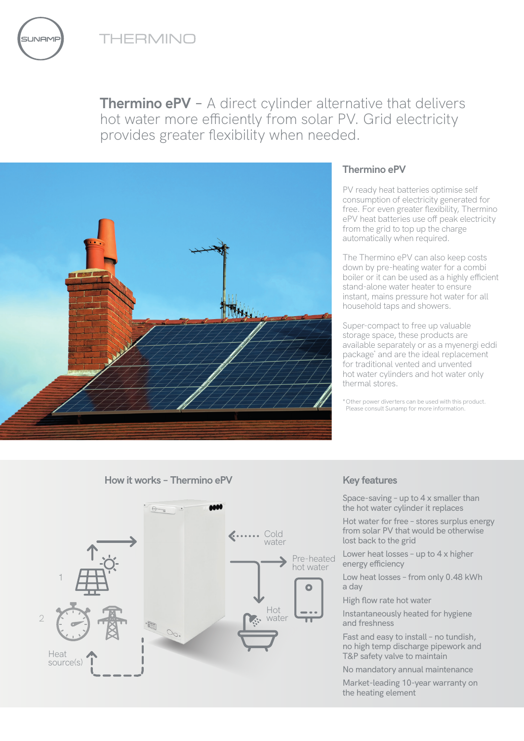THERMINO



**Thermino ePV** - A direct cylinder alternative that delivers hot water more efficiently from solar PV. Grid electricity provides greater flexibility when needed.



## **Thermino ePV**

PV ready heat batteries optimise self consumption of electricity generated for free. For even greater flexibility, Thermino ePV heat batteries use off peak electricity from the grid to top up the charge automatically when required.

The Thermino ePV can also keep costs down by pre-heating water for a combi boiler or it can be used as a highly efficient stand-alone water heater to ensure instant, mains pressure hot water for all household taps and showers.

Super-compact to free up valuable storage space, these products are available separately or as a myenergi eddi package\* and are the ideal replacement for traditional vented and unvented hot water cylinders and hot water only thermal stores.

\*Other power diverters can be used with this product. Please consult Sunamp for more information.





Space-saving – up to 4 x smaller than the hot water cylinder it replaces

Hot water for free – stores surplus energy from solar PV that would be otherwise lost back to the grid

Lower heat losses – up to 4 x higher energy efficiency

Low heat losses – from only 0.48 kWh a day

High flow rate hot water

Instantaneously heated for hygiene and freshness

Fast and easy to install – no tundish, no high temp discharge pipework and T&P safety valve to maintain

No mandatory annual maintenance

Market-leading 10-year warranty on the heating element